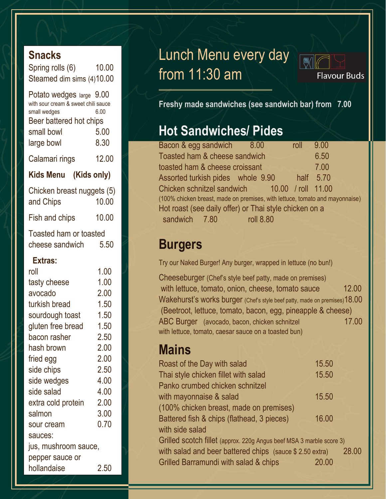#### **Snacks**

Spring rolls (6) 10.00 Steamed dim sims (4)10.00

| Potato wedges large 9.00            |       |  |  |  |
|-------------------------------------|-------|--|--|--|
| with sour cream & sweet chili sauce |       |  |  |  |
| small wedges                        | 6.00  |  |  |  |
| Beer battered hot chips             |       |  |  |  |
| small bowl                          | 5.00  |  |  |  |
| large bowl                          | 8.30  |  |  |  |
| Calamari rings                      | 12.00 |  |  |  |
| Kids Menu (Kids only)               |       |  |  |  |
|                                     |       |  |  |  |
|                                     |       |  |  |  |
| Chicken breast nuggets (5)          |       |  |  |  |
| and Chips                           | 10.00 |  |  |  |
| Fish and chips                      | 10.00 |  |  |  |
| Toasted ham or toasted              |       |  |  |  |
| cheese sandwich                     | 5.50  |  |  |  |
| Extras:                             |       |  |  |  |

| roll                 | LUU      |  |
|----------------------|----------|--|
| tasty cheese         | 1.00     |  |
| avocado              | 2.00     |  |
| turkish bread        | 1.50     |  |
| sourdough toast      | 1.50     |  |
| gluten free bread    | 1.50     |  |
| bacon rasher         | 2.50     |  |
| hash brown           | 2.00     |  |
| fried egg            | 2.00     |  |
| side chips           | 2.50     |  |
| side wedges          | 4.00     |  |
| side salad           | 4.00     |  |
| extra cold protein   | 2.00     |  |
| salmon               | 3.00     |  |
| sour cream           | 0.70     |  |
| sauces:              |          |  |
| jus, mushroom sauce, |          |  |
| pepper sauce or      |          |  |
| hollandaise          | $2.50\,$ |  |

## Lunch Menu every day from 11:30 am



**Flavour Buds** 

**Freshy made sandwiches (see sandwich bar) from 7.00**

#### **Hot Sandwiches/ Pides**

| Bacon & egg sandwich 8.00                                                    |           | roll | 9.00      |  |
|------------------------------------------------------------------------------|-----------|------|-----------|--|
| Toasted ham & cheese sandwich                                                |           |      | 6.50      |  |
| toasted ham & cheese croissant                                               |           |      | 7.00      |  |
| Assorted turkish pides whole 9.90                                            |           |      | half 5.70 |  |
| Chicken schnitzel sandwich 10.00 / roll 11.00                                |           |      |           |  |
| (100% chicken breast, made on premises, with lettuce, tomato and mayonnaise) |           |      |           |  |
| Hot roast (see daily offer) or Thai style chicken on a                       |           |      |           |  |
| sandwich 7.80                                                                | roll 8.80 |      |           |  |

#### **Burgers**

Try our Naked Burger! Any burger, wrapped in lettuce (no bun!)

Cheeseburger (Chef's style beef patty, made on premises) with lettuce, tomato, onion, cheese, tomato sauce 12.00 Wakehurst's works burger (Chef's style beef patty, made on premises) 18.00 (Beetroot, lettuce, tomato, bacon, egg, pineapple & cheese) ABC Burger (avocado, bacon, chicken schnitzel 17.00 with lettuce, tomato, caesar sauce on a toasted bun)

### **Mains**

| Roast of the Day with salad                                          | 15.50 |       |
|----------------------------------------------------------------------|-------|-------|
| Thai style chicken fillet with salad                                 | 15.50 |       |
| Panko crumbed chicken schnitzel                                      |       |       |
| with mayonnaise & salad                                              | 15.50 |       |
| (100% chicken breast, made on premises)                              |       |       |
| Battered fish & chips (flathead, 3 pieces)                           | 16.00 |       |
| with side salad                                                      |       |       |
| Grilled scotch fillet (approx. 220g Angus beef MSA 3 marble score 3) |       |       |
| with salad and beer battered chips (sauce \$2.50 extra)              |       | 28,00 |
| Grilled Barramundi with salad & chips                                | 20.00 |       |